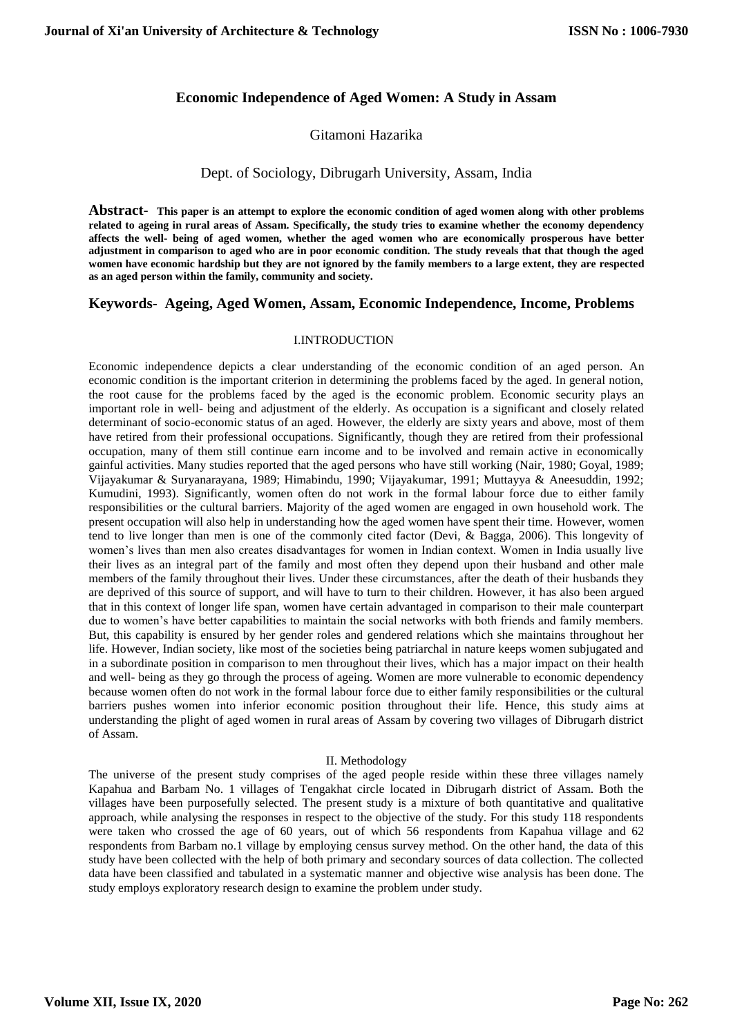# **Economic Independence of Aged Women: A Study in Assam**

# Gitamoni Hazarika

## Dept. of Sociology, Dibrugarh University, Assam, India

**Abstract- This paper is an attempt to explore the economic condition of aged women along with other problems related to ageing in rural areas of Assam. Specifically, the study tries to examine whether the economy dependency affects the well- being of aged women, whether the aged women who are economically prosperous have better adjustment in comparison to aged who are in poor economic condition. The study reveals that that though the aged women have economic hardship but they are not ignored by the family members to a large extent, they are respected as an aged person within the family, community and society.**

## **Keywords- Ageing, Aged Women, Assam, Economic Independence, Income, Problems**

## I.INTRODUCTION

Economic independence depicts a clear understanding of the economic condition of an aged person. An economic condition is the important criterion in determining the problems faced by the aged. In general notion, the root cause for the problems faced by the aged is the economic problem. Economic security plays an important role in well- being and adjustment of the elderly. As occupation is a significant and closely related determinant of socio-economic status of an aged. However, the elderly are sixty years and above, most of them have retired from their professional occupations. Significantly, though they are retired from their professional occupation, many of them still continue earn income and to be involved and remain active in economically gainful activities. Many studies reported that the aged persons who have still working (Nair, 1980; Goyal, 1989; Vijayakumar & Suryanarayana, 1989; Himabindu, 1990; Vijayakumar, 1991; Muttayya & Aneesuddin, 1992; Kumudini, 1993). Significantly, women often do not work in the formal labour force due to either family responsibilities or the cultural barriers. Majority of the aged women are engaged in own household work. The present occupation will also help in understanding how the aged women have spent their time. However, women tend to live longer than men is one of the commonly cited factor (Devi, & Bagga, 2006). This longevity of women's lives than men also creates disadvantages for women in Indian context. Women in India usually live their lives as an integral part of the family and most often they depend upon their husband and other male members of the family throughout their lives. Under these circumstances, after the death of their husbands they are deprived of this source of support, and will have to turn to their children. However, it has also been argued that in this context of longer life span, women have certain advantaged in comparison to their male counterpart due to women's have better capabilities to maintain the social networks with both friends and family members. But, this capability is ensured by her gender roles and gendered relations which she maintains throughout her life. However, Indian society, like most of the societies being patriarchal in nature keeps women subjugated and in a subordinate position in comparison to men throughout their lives, which has a major impact on their health and well- being as they go through the process of ageing. Women are more vulnerable to economic dependency because women often do not work in the formal labour force due to either family responsibilities or the cultural barriers pushes women into inferior economic position throughout their life. Hence, this study aims at understanding the plight of aged women in rural areas of Assam by covering two villages of Dibrugarh district of Assam.

## II. Methodology

The universe of the present study comprises of the aged people reside within these three villages namely Kapahua and Barbam No. 1 villages of Tengakhat circle located in Dibrugarh district of Assam. Both the villages have been purposefully selected. The present study is a mixture of both quantitative and qualitative approach, while analysing the responses in respect to the objective of the study. For this study 118 respondents were taken who crossed the age of 60 years, out of which 56 respondents from Kapahua village and 62 respondents from Barbam no.1 village by employing census survey method. On the other hand, the data of this study have been collected with the help of both primary and secondary sources of data collection. The collected data have been classified and tabulated in a systematic manner and objective wise analysis has been done. The study employs exploratory research design to examine the problem under study.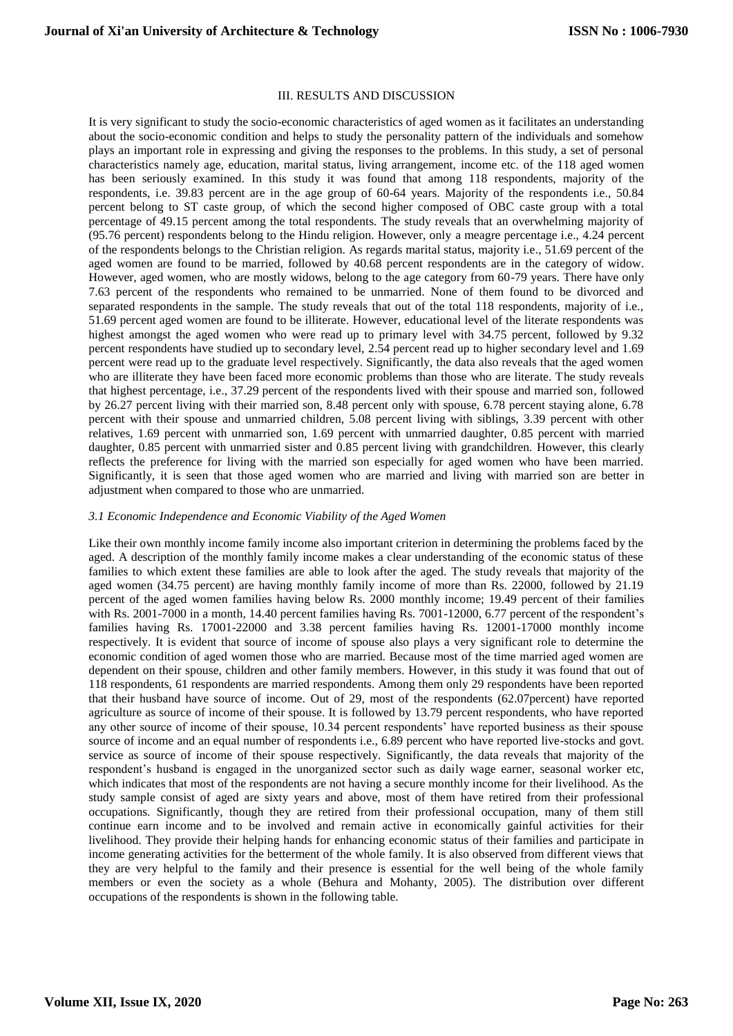#### III. RESULTS AND DISCUSSION

It is very significant to study the socio-economic characteristics of aged women as it facilitates an understanding about the socio-economic condition and helps to study the personality pattern of the individuals and somehow plays an important role in expressing and giving the responses to the problems. In this study, a set of personal characteristics namely age, education, marital status, living arrangement, income etc. of the 118 aged women has been seriously examined. In this study it was found that among 118 respondents, majority of the respondents, i.e. 39.83 percent are in the age group of 60-64 years. Majority of the respondents i.e., 50.84 percent belong to ST caste group, of which the second higher composed of OBC caste group with a total percentage of 49.15 percent among the total respondents. The study reveals that an overwhelming majority of (95.76 percent) respondents belong to the Hindu religion. However, only a meagre percentage i.e., 4.24 percent of the respondents belongs to the Christian religion. As regards marital status, majority i.e., 51.69 percent of the aged women are found to be married, followed by 40.68 percent respondents are in the category of widow. However, aged women, who are mostly widows, belong to the age category from 60-79 years. There have only 7.63 percent of the respondents who remained to be unmarried. None of them found to be divorced and separated respondents in the sample. The study reveals that out of the total 118 respondents, majority of i.e., 51.69 percent aged women are found to be illiterate. However, educational level of the literate respondents was highest amongst the aged women who were read up to primary level with 34.75 percent, followed by 9.32 percent respondents have studied up to secondary level, 2.54 percent read up to higher secondary level and 1.69 percent were read up to the graduate level respectively. Significantly, the data also reveals that the aged women who are illiterate they have been faced more economic problems than those who are literate. The study reveals that highest percentage, i.e., 37.29 percent of the respondents lived with their spouse and married son, followed by 26.27 percent living with their married son, 8.48 percent only with spouse, 6.78 percent staying alone, 6.78 percent with their spouse and unmarried children, 5.08 percent living with siblings, 3.39 percent with other relatives, 1.69 percent with unmarried son, 1.69 percent with unmarried daughter, 0.85 percent with married daughter, 0.85 percent with unmarried sister and 0.85 percent living with grandchildren. However, this clearly reflects the preference for living with the married son especially for aged women who have been married. Significantly, it is seen that those aged women who are married and living with married son are better in adjustment when compared to those who are unmarried.

### *3.1 Economic Independence and Economic Viability of the Aged Women*

Like their own monthly income family income also important criterion in determining the problems faced by the aged. A description of the monthly family income makes a clear understanding of the economic status of these families to which extent these families are able to look after the aged. The study reveals that majority of the aged women (34.75 percent) are having monthly family income of more than Rs. 22000, followed by 21.19 percent of the aged women families having below Rs. 2000 monthly income; 19.49 percent of their families with Rs. 2001-7000 in a month, 14.40 percent families having Rs. 7001-12000, 6.77 percent of the respondent's families having Rs. 17001-22000 and 3.38 percent families having Rs. 12001-17000 monthly income respectively. It is evident that source of income of spouse also plays a very significant role to determine the economic condition of aged women those who are married. Because most of the time married aged women are dependent on their spouse, children and other family members. However, in this study it was found that out of 118 respondents, 61 respondents are married respondents. Among them only 29 respondents have been reported that their husband have source of income. Out of 29, most of the respondents (62.07percent) have reported agriculture as source of income of their spouse. It is followed by 13.79 percent respondents, who have reported any other source of income of their spouse, 10.34 percent respondents' have reported business as their spouse source of income and an equal number of respondents i.e., 6.89 percent who have reported live-stocks and govt. service as source of income of their spouse respectively. Significantly, the data reveals that majority of the respondent's husband is engaged in the unorganized sector such as daily wage earner, seasonal worker etc, which indicates that most of the respondents are not having a secure monthly income for their livelihood. As the study sample consist of aged are sixty years and above, most of them have retired from their professional occupations. Significantly, though they are retired from their professional occupation, many of them still continue earn income and to be involved and remain active in economically gainful activities for their livelihood. They provide their helping hands for enhancing economic status of their families and participate in income generating activities for the betterment of the whole family. It is also observed from different views that they are very helpful to the family and their presence is essential for the well being of the whole family members or even the society as a whole (Behura and Mohanty, 2005). The distribution over different occupations of the respondents is shown in the following table.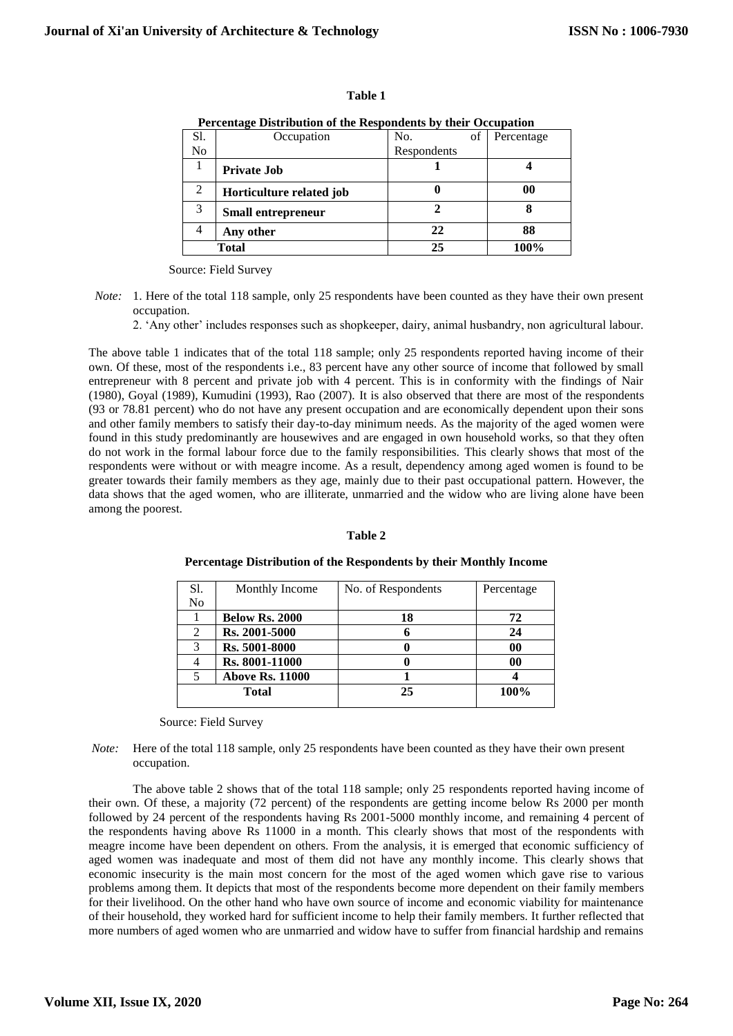| Percentage Distribution of the Respondents by their Occupation |                           |             |            |  |  |  |
|----------------------------------------------------------------|---------------------------|-------------|------------|--|--|--|
| S1.                                                            | Occupation                | of<br>No.   | Percentage |  |  |  |
| N <sub>0</sub>                                                 |                           | Respondents |            |  |  |  |
|                                                                | <b>Private Job</b>        |             |            |  |  |  |
| $\overline{2}$                                                 | Horticulture related job  |             | $\bf{00}$  |  |  |  |
| $\mathcal{R}$                                                  | <b>Small entrepreneur</b> |             |            |  |  |  |
|                                                                | Any other                 | 22          | 88         |  |  |  |
| Total                                                          |                           | 25          | 100%       |  |  |  |

|  | Percentage Distribution of the Respondents by their Occupation |  |
|--|----------------------------------------------------------------|--|
|  |                                                                |  |
|  |                                                                |  |

**Table 1**

Source: Field Survey

*Note:* 1. Here of the total 118 sample, only 25 respondents have been counted as they have their own present occupation.

2. 'Any other' includes responses such as shopkeeper, dairy, animal husbandry, non agricultural labour.

The above table 1 indicates that of the total 118 sample; only 25 respondents reported having income of their own. Of these, most of the respondents i.e., 83 percent have any other source of income that followed by small entrepreneur with 8 percent and private job with 4 percent. This is in conformity with the findings of Nair (1980), Goyal (1989), Kumudini (1993), Rao (2007). It is also observed that there are most of the respondents (93 or 78.81 percent) who do not have any present occupation and are economically dependent upon their sons and other family members to satisfy their day-to-day minimum needs. As the majority of the aged women were found in this study predominantly are housewives and are engaged in own household works, so that they often do not work in the formal labour force due to the family responsibilities. This clearly shows that most of the respondents were without or with meagre income. As a result, dependency among aged women is found to be greater towards their family members as they age, mainly due to their past occupational pattern. However, the data shows that the aged women, who are illiterate, unmarried and the widow who are living alone have been among the poorest.

#### **Table 2**

| S1.            | Monthly Income         | No. of Respondents | Percentage     |
|----------------|------------------------|--------------------|----------------|
| N <sub>0</sub> |                        |                    |                |
|                | <b>Below Rs. 2000</b>  | 18                 | 72             |
| 2              | Rs. 2001-5000          |                    | 24             |
| 3              | Rs. 5001-8000          |                    | $\bf{00}$      |
|                | Rs. 8001-11000         |                    | 0 <sub>0</sub> |
|                | <b>Above Rs. 11000</b> |                    |                |
|                | <b>Total</b>           | 25                 | 100%           |
|                |                        |                    |                |

**Percentage Distribution of the Respondents by their Monthly Income** 

Source: Field Survey

*Note:* Here of the total 118 sample, only 25 respondents have been counted as they have their own present occupation.

The above table 2 shows that of the total 118 sample; only 25 respondents reported having income of their own. Of these, a majority (72 percent) of the respondents are getting income below Rs 2000 per month followed by 24 percent of the respondents having Rs 2001-5000 monthly income, and remaining 4 percent of the respondents having above Rs 11000 in a month. This clearly shows that most of the respondents with meagre income have been dependent on others. From the analysis, it is emerged that economic sufficiency of aged women was inadequate and most of them did not have any monthly income. This clearly shows that economic insecurity is the main most concern for the most of the aged women which gave rise to various problems among them. It depicts that most of the respondents become more dependent on their family members for their livelihood. On the other hand who have own source of income and economic viability for maintenance of their household, they worked hard for sufficient income to help their family members. It further reflected that more numbers of aged women who are unmarried and widow have to suffer from financial hardship and remains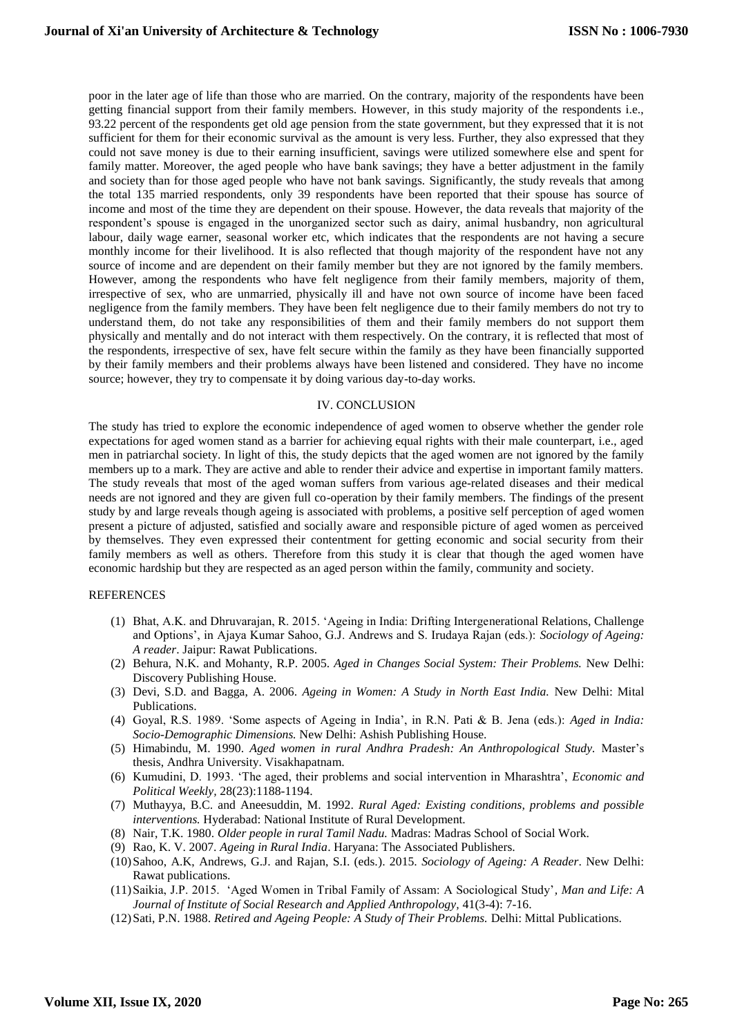poor in the later age of life than those who are married. On the contrary, majority of the respondents have been getting financial support from their family members. However, in this study majority of the respondents i.e., 93.22 percent of the respondents get old age pension from the state government, but they expressed that it is not sufficient for them for their economic survival as the amount is very less. Further, they also expressed that they could not save money is due to their earning insufficient, savings were utilized somewhere else and spent for family matter. Moreover, the aged people who have bank savings; they have a better adjustment in the family and society than for those aged people who have not bank savings. Significantly, the study reveals that among the total 135 married respondents, only 39 respondents have been reported that their spouse has source of income and most of the time they are dependent on their spouse. However, the data reveals that majority of the respondent's spouse is engaged in the unorganized sector such as dairy, animal husbandry, non agricultural labour, daily wage earner, seasonal worker etc, which indicates that the respondents are not having a secure monthly income for their livelihood. It is also reflected that though majority of the respondent have not any source of income and are dependent on their family member but they are not ignored by the family members. However, among the respondents who have felt negligence from their family members, majority of them, irrespective of sex, who are unmarried, physically ill and have not own source of income have been faced negligence from the family members. They have been felt negligence due to their family members do not try to understand them, do not take any responsibilities of them and their family members do not support them physically and mentally and do not interact with them respectively. On the contrary, it is reflected that most of the respondents, irrespective of sex, have felt secure within the family as they have been financially supported by their family members and their problems always have been listened and considered. They have no income source; however, they try to compensate it by doing various day-to-day works.

#### IV. CONCLUSION

The study has tried to explore the economic independence of aged women to observe whether the gender role expectations for aged women stand as a barrier for achieving equal rights with their male counterpart, i.e., aged men in patriarchal society. In light of this, the study depicts that the aged women are not ignored by the family members up to a mark. They are active and able to render their advice and expertise in important family matters. The study reveals that most of the aged woman suffers from various age-related diseases and their medical needs are not ignored and they are given full co-operation by their family members. The findings of the present study by and large reveals though ageing is associated with problems, a positive self perception of aged women present a picture of adjusted, satisfied and socially aware and responsible picture of aged women as perceived by themselves. They even expressed their contentment for getting economic and social security from their family members as well as others. Therefore from this study it is clear that though the aged women have economic hardship but they are respected as an aged person within the family, community and society.

#### **REFERENCES**

- (1) Bhat, A.K. and Dhruvarajan, R. 2015. 'Ageing in India: Drifting Intergenerational Relations, Challenge and Options', in Ajaya Kumar Sahoo, G.J. Andrews and S. Irudaya Rajan (eds.): *Sociology of Ageing: A reader*. Jaipur: Rawat Publications.
- (2) Behura, N.K. and Mohanty, R.P. 2005. *Aged in Changes Social System: Their Problems.* New Delhi: Discovery Publishing House.
- (3) Devi, S.D. and Bagga, A. 2006. *Ageing in Women: A Study in North East India.* New Delhi: Mital Publications.
- (4) Goyal, R.S. 1989. 'Some aspects of Ageing in India', in R.N. Pati & B. Jena (eds.): *Aged in India: Socio-Demographic Dimensions.* New Delhi: Ashish Publishing House.
- (5) Himabindu, M. 1990. *Aged women in rural Andhra Pradesh: An Anthropological Study.* Master's thesis, Andhra University. Visakhapatnam.
- (6) Kumudini, D. 1993. 'The aged, their problems and social intervention in Mharashtra', *Economic and Political Weekly,* 28(23):1188-1194.
- (7) Muthayya, B.C. and Aneesuddin, M. 1992. *Rural Aged: Existing conditions, problems and possible interventions.* Hyderabad: National Institute of Rural Development.
- (8) Nair, T.K. 1980. *Older people in rural Tamil Nadu.* Madras: Madras School of Social Work.
- (9) Rao, K. V. 2007. *Ageing in Rural India*. Haryana: The Associated Publishers.
- (10)Sahoo, A.K, Andrews, G.J. and Rajan, S.I. (eds.). 2015. *Sociology of Ageing: A Reader*. New Delhi: Rawat publications.
- (11)Saikia, J.P. 2015. 'Aged Women in Tribal Family of Assam: A Sociological Study'*, Man and Life: A Journal of Institute of Social Research and Applied Anthropology,* 41(3-4): 7-16.
- (12)Sati, P.N. 1988. *Retired and Ageing People: A Study of Their Problems.* Delhi: Mittal Publications.